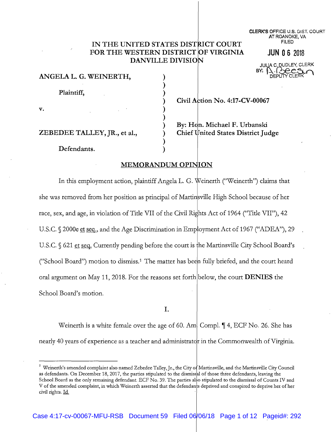# IN THE UNITED STATES DISTRICT COURT FOR THE WESTERN DISTRICT OF VIRGINIA **DANVILLE DIVISION**

 $\mathcal{E}$  $\lambda$  **CLERK'S OFFICE U.S. DIST. COURT** AT ROANOKE, VA **FILED** 

JUN 0 6 2018

**JULIA C. DUDLEY, CL** 

|  | ANGELA L. G. WEINERTH, |  |
|--|------------------------|--|
|  |                        |  |

Plaintiff,

 $\mathbf{v}$ .

Civil Action No. 4:17-CV-00067

### ZEBEDEE TALLEY, JR., et al.,

By: Hon. Michael F. Urbanski **Chief United States District Judge** 

Defendants.

# **MEMORANDUM OPINION**

In this employment action, plaintiff Angela L. G. Weinerth ("Weinerth") claims that she was removed from her position as principal of Martinsville High School because of her race, sex, and age, in violation of Title VII of the Civil Rights Act of 1964 ("Title VII"), 42 U.S.C. § 2000e et seq., and the Age Discrimination in Employment Act of 1967 ("ADEA"), 29 U.S.C.  $\frac{621 \text{ et seq.}$  Currently pending before the court is the Martinsville City School Board's ("School Board") motion to dismiss.<sup>1</sup> The matter has been fully briefed, and the court heard oral argument on May 11, 2018. For the reasons set forth below, the court **DENIES** the School Board's motion.

I.

Weinerth is a white female over the age of 60. Am. Compl.  $\P$  4, ECF No. 26. She has nearly 40 years of experience as a teacher and administrator in the Commonwealth of Virginia.

<sup>&</sup>lt;sup>1</sup> Weinerth's amended complaint also named Zebedee Talley, Jr., the City of Martinsville, and the Martinsville City Council as defendants. On December 18, 2017, the parties stipulated to the dismissal of those three defendants, leaving the School Board as the only remaining defendant. ECF No. 39. The parties also stipulated to the dismissal of Counts IV and V of the amended complaint, in which Weinerth asserted that the defendants deprived and conspired to deprive her of her civil rights. Id.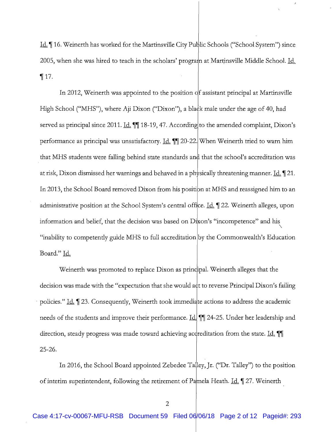Id. 16. Weinerth has worked for the Martinsville City Public Schools ("School System") since 2005, when she was hired to teach in the scholars' program at Martinsville Middle School. Id.  $\P$ 17.

In 2012, Weinerth was appointed to the position of assistant principal at Martinsville High School ("MHS"), where Aji Dixon ("Dixon"), a black male under the age of 40, had served as principal since 2011. Id. 11 18-19, 47. According to the amended complaint, Dixon's performance as principal was unsatisfactory. Id. 11 20-22. When Weinerth tried to warn him that MHS students were falling behind state standards and that the school's accreditation was at risk, Dixon dismissed her warnings and behaved in a physically threatening manner. <u>Id.</u> 121. In 2013, the School Board removed Dixon from his position at MHS and reassigned him to an administrative position at the School System's central office. Id. 122. Weinerth alleges, upon information and belief, that the decision was based on Dixon's "incompetence" and his "inability to competently guide MHS to full accreditation by the Commonwealth's Education Board." Id.

Weinerth was promoted to replace Dixon as principal. Weinerth alleges that the decision was made with the "expectation that she would act to reverse Principal Dixon's failing policies." Id. 123. Consequently, Weinerth took immediate actions to address the academic needs of the students and improve their performance. Id. 11 24-25. Under her leadership and direction, steady progress was made toward achieving accreditation from the state. Id.  $25 - 26.$ 

In 2016, the School Board appointed Zebedee Talley, Jr. ("Dr. Talley") to the position of interim superintendent, following the retirement of Pamela Heath. Id.  $\parallel$  27. Weinerth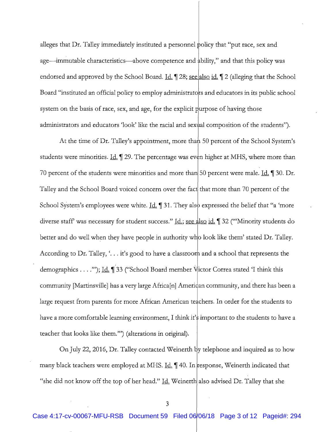alleges that Dr. Talley immediately instituted a personnel policy that "put race, sex and age—immutable characteristics—above competence and ability," and that this policy was endorsed and approved by the School Board. Id. 128; see also id. 12 (alleging that the School Board "instituted an official policy to employ administrators and educators in its public school system on the basis of race, sex, and age, for the explicit purpose of having those administrators and educators 'look' like the racial and sexual composition of the students'').

At the time of Dr. Talley's appointment, more than 50 percent of the School System's students were minorities. Id.  $\int$  29. The percentage was even higher at MHS, where more than 70 percent of the students were minorities and more than 50 percent were male. Id. 1 30. Dr. Talley and the School Board voiced concern over the fact that more than 70 percent of the School System's employees were white. Id. 1 31. They also expressed the belief that "a 'more diverse staff was necessary for student success." Id.; see also id. 1 32 ("Minority students do better and do well when they have people in authority who look like them' stated Dr. Talley. According to Dr. Talley, '... it's good to have a classroom and a school that represents the demographics . . . .""); <u>Id.</u> 1 33 ("School Board member Victor Correa stated T think this community [Martinsville] has a very large Africa[n] American community, and there has been a large request from parents for more African American teachers. In order for the students to have a more comfortable learning environment, I think it's important to the students to have a teacher that looks like them."") (alterations in original).

On July 22, 2016, Dr. Talley contacted Weinerth by telephone and inquired as to how many black teachers were employed at MHS. Id. 140. In response, Weinerth indicated that "she did not know off the top of her head." Id. Weinerth also advised Dr. Talley that she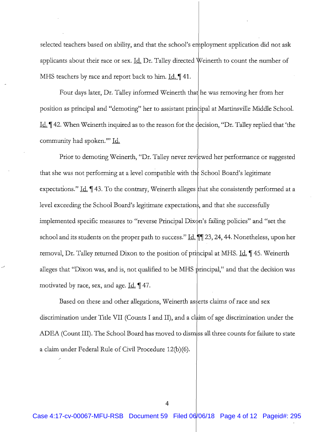selected teachers based on ability, and that the school's employment application did not ask applicants about their race or sex. Id. Dr. Talley directed Weinerth to count the number of MHS teachers by race and report back to him. Id. 141.

Four days later, Dr. Talley informed Weinerth that he was removing her from her position as principal and "demoting" her to assistant principal at Martinsville Middle School. Id. ¶42. When Weinerth inquired as to the reason for the decision, "Dr. Talley replied that 'the community had spoken."" Id.

Prior to demoting Weinerth, "Dr. Talley never reviewed her performance or suggested that she was not performing at a level compatible with the School Board's legitimate expectations." Id. 143. To the contrary, Weinerth alleges that she consistently performed at a level exceeding the School Board's legitimate expectations, and that she successfully implemented specific measures to "reverse Principal Dixon's failing policies" and "set the school and its students on the proper path to success." Id.  $\P$  23, 24, 44. Nonetheless, upon her removal, Dr. Talley returned Dixon to the position of principal at MHS. Id. 145. Weinerth alleges that "Dixon was, and is, not qualified to be MHS principal," and that the decision was motivated by race, sex, and age. Id. 147.

Based on these and other allegations, Weinerth asserts claims of race and sex discrimination under Title VII (Counts I and II), and a claim of age discrimination under the ADEA (Count III). The School Board has moved to dismiss all three counts for failure to state a claim under Federal Rule of Civil Procedure 12(b)(6).

4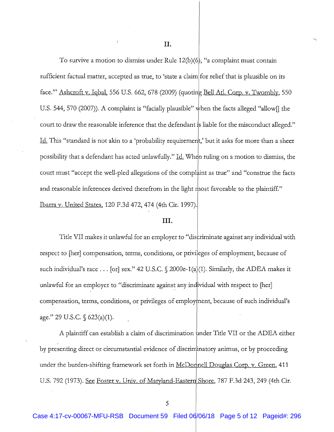II.

To survive a motion to dismiss under Rule  $12(b)(6)$ , "a complaint must contain sufficient factual matter, accepted as true, to 'state a claim|for relief that is plausible on its face."" Ashcroft v. Iqbal, 556 U.S. 662, 678 (2009) (quoting Bell Atl. Corp. v. Twombly, 550 U.S. 544, 570 (2007)). A complaint is "facially plausible" when the facts alleged "allow  $\lceil$  the court to draw the reasonable inference that the defendant is liable for the misconduct alleged." Id. This "standard is not akin to a 'probability requirement,' but it asks for more than a sheer possibility that a defendant has acted unlawfully." Id. When ruling on a motion to dismiss, the court must "accept the well-pled allegations of the complaint as true" and "construe the facts and reasonable inferences derived therefrom in the light most favorable to the plaintiff." Ibarra v. United States, 120 F.3d 472, 474 (4th Cir. 1997).

### III.

Title VII makes it unlawful for an employer to "discriminate against any individual with respect to [her] compensation, terms, conditions, or privileges of employment, because of such individual's race . . . [or] sex." 42 U.S.C.  $\S$  2000e-1(a)(1). Similarly, the ADEA makes it unlawful for an employer to "discriminate against any individual with respect to [her] compensation, terms, conditions, or privileges of employment, because of such individual's age." 29 U.S.C.  $\S$  623(a)(1).

A plaintiff can establish a claim of discrimination under Title VII or the ADEA either by presenting direct or circumstantial evidence of discriminatory animus, or by proceeding under the burden-shifting framework set forth in McDonnell Douglas Corp. v. Green, 411 U.S. 792 (1973). See Foster v. Univ. of Maryland-Eastern Shore, 787 F.3d 243, 249 (4th Cir.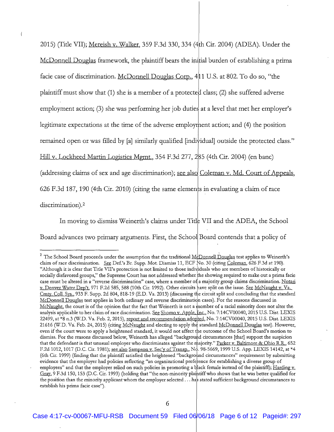2015) (Title VII); Mereish v. Walker, 359 F.3d 330, 334 (4th Cir. 2004) (ADEA). Under the McDonnell Douglas framework, the plaintiff bears the initial burden of establishing a prima facie case of discrimination. McDonnell Douglas Corp., 411 U.S. at 802. To do so, "the plaintiff must show that (1) she is a member of a protected class; (2) she suffered adverse employment action; (3) she was performing her job duties at a level that met her employer's legitimate expectations at the time of the adverse employment action; and (4) the position remained open or was filled by [a] similarly qualified [individual] outside the protected class." Hill v. Lockheed Martin Logistics Mgmt., 354 F.3d 277, 285 (4th Cir. 2004) (en banc) (addressing claims of sex and age discrimination); see also Coleman v. Md. Court of Appeals, 626 F.3d 187, 190 (4th Cir. 2010) (citing the same elements in evaluating a claim of race discrimination).<sup>2</sup>

 $\left\langle \right\rangle$ 

In moving to dismiss Weinerth's claims under Title VII and the ADEA, the School Board advances two primary arguments. First, the School Board contends that a policy of

<sup>&</sup>lt;sup>2</sup> The School Board proceeds under the assumption that the traditional  $\mathcal{M}_{\mathcal{C}}^{\perp}$  Douglas test applies to Weinerth's claim of race discrimination. See Def.'s Br. Supp. Mot. Dismiss 11, ECF No. 30 (citing Coleman, 626 F.3d at 190). "Although it is clear that Title VII's protection is not limited to those individuals who are members of historically or socially disfavored groups," the Supreme Court has not addressed whether the showing required to make out a prima facie case must be altered in a "reverse discrimination" case, where a member of a majority group claims discrimination. Notari v. Denver Water Dep't, 971 F.2d 585, 588 (10th Cir. 1992). Other circuits have split on the issue. See McNaught v. Va. Cmty. Coll. Sys., 933 F. Supp. 2d 804, 818-19 (E.D. Va. 2013) (discussing the circuit split and concluding that the standard McDonnell Douglas test applies in both ordinary and reverse discrimination cases). For the reasons discussed in McNaught, the court is of the opinion that the fact that Weinerth is not a member of a racial minority does not alter the analysis applicable to her claim of race discrimination. See Shomo v. Apple, Inc., No. 7:14CV00040, 2015 U.S. Dist. LEXIS 22499, at \*8 n.3 (W.D. Va. Feb. 2, 2015), report and recommendation adopted, No. 7:14CV00040, 2015 U.S. Dist. LEXIS 21616 (W.D. Va. Feb. 24, 2015) (citing McNaught and electing to apply the standard McDonnell Douglas test). However, even if the court were to apply a heightened standard, it would not affect the outcome of the School Board's motion to dismiss. For the reasons discussed below, Weinerth has alleged "background circumstances [that] support the suspicion that the defendant is that unusual employer who discriminates against the majority." Parker v. Baltimore & Ohio R.R., 652 F.2d 1012, 1017 (D.C. Cir. 1981); see also Sampson v. Sec'y of Transp., No. 98-5669, 1999 U.S. App. LEXIS 14142, at \*4 (6th Cir. 1999) (finding that the plaintiff satisfied the heightened "background circumstances" requirement by submitting evidence that the employer had policies reflecting "an organizational preference for establishing a diverse group of employees" and that the employer relied on such policies in promoting a black female instead of the plaintiff); Harding  $v_i$ Gray, 9 F.3d 150, 153 (D.C. Cir. 1993) (holding that "the non-minority plaintiff who shows that he was better qualified for the position than the minority applicant whom the employer selected . . . has stated sufficient background circumstances to establish his prima facie case").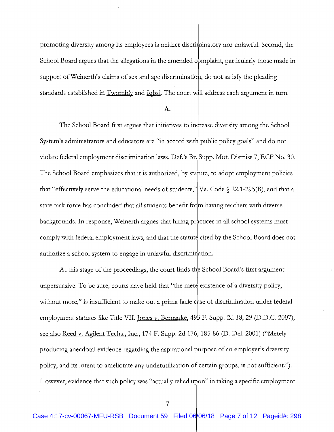promoting diversity among its employees is neither discriminatory nor unlawful. Second, the School Board argues that the allegations in the amended complaint, particularly those made in support of Weinerth's claims of sex and age discrimination, do not satisfy the pleading standards established in Twombly and Igbal. The court will address each argument in turn.

#### $\mathbf{A}$ .

The School Board first argues that initiatives to increase diversity among the School System's administrators and educators are "in accord with public policy goals" and do not violate federal employment discrimination laws. Def.'s Br. Supp. Mot. Dismiss 7, ECF No. 30. The School Board emphasizes that it is authorized, by statute, to adopt employment policies that "effectively serve the educational needs of students,"  $Va$ . Code  $\S$  22.1-295(B), and that a state task force has concluded that all students benefit from having teachers with diverse backgrounds. In response, Weinerth argues that hiring practices in all school systems must comply with federal employment laws, and that the statute cited by the School Board does not authorize a school system to engage in unlawful discrimination.

At this stage of the proceedings, the court finds the School Board's first argument unpersuasive. To be sure, courts have held that "the mere existence of a diversity policy, without more," is insufficient to make out a prima facie case of discrimination under federal employment statutes like Title VII. Jones v. Bernanke, 49 F. Supp. 2d 18, 29 (D.D.C. 2007); see also Reed v. Agilent Techs., Inc., 174 F. Supp. 2d 176, 185-86 (D. Del. 2001) ("Merely producing anecdotal evidence regarding the aspirational purpose of an employer's diversity policy, and its intent to ameliorate any underutilization of certain groups, is not sufficient."). However, evidence that such policy was "actually relied upon" in taking a specific employment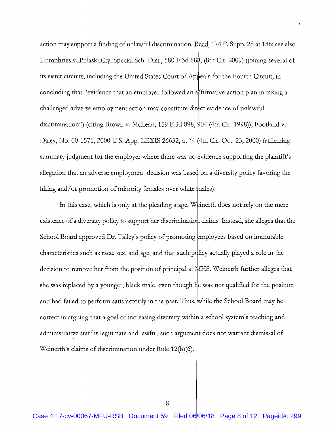action may support a finding of unlawful discrimination. Reed, 174 F. Supp. 2d at 186; see also Humphries v. Pulaski Ctv. Special Sch. Dist., 580 F.3d 688, (8th Cir. 2009) (joining several of its sister circuits, including the United States Court of Appeals for the Fourth Circuit, in concluding that "evidence that an employer followed an affirmative action plan in taking a challenged adverse employment action may constitute direct evidence of unlawful discrimination") (citing Brown v. McLean, 159 F.3d 898, 904 (4th Cir. 1998)); Footland v. Daley, No. 00-1571, 2000 U.S. App. LEXIS 26632, at \*4 (4th Cir. Oct. 23, 2000) (affirming summary judgment for the employer where there was no evidence supporting the plaintiff's allegation that an adverse employment decision was based on a diversity policy favoring the hiring and/or promotion of minority females over white males).

In this case, which is only at the pleading stage, Weinerth does not rely on the mere existence of a diversity policy to support her discrimination claims. Instead, she alleges that the School Board approved Dr. Talley's policy of promoting employees based on immutable characteristics such as race, sex, and age, and that such policy actually played a role in the decision to remove her from the position of principal at MHS. Weinerth further alleges that she was replaced by a younger, black male, even though he was not qualified for the position and had failed to perform satisfactorily in the past. Thus, while the School Board may be correct in arguing that a goal of increasing diversity within a school system's teaching and administrative staff is legitimate and lawful, such argument does not warrant dismissal of Weinerth's claims of discrimination under Rule 12(b)(6).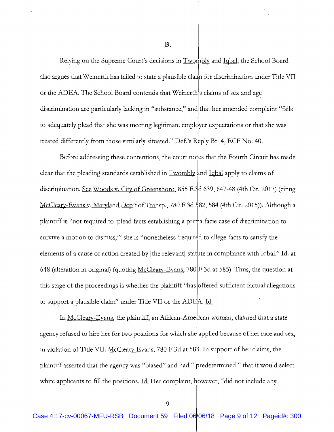**B.** 

Relying on the Supreme Court's decisions in Twombly and Igbal, the School Board also argues that Weinerth has failed to state a plausible claim for discrimination under Title VII or the ADEA. The School Board contends that Weinerth's claims of sex and age discrimination are particularly lacking in "substance," and that her amended complaint "fails to adequately plead that she was meeting legitimate employer expectations or that she was treated differently from those similarly situated." Def.'s Reply Br. 4, ECF No. 40.

Before addressing these contentions, the court notes that the Fourth Circuit has made clear that the pleading standards established in Twombly and Iqbal apply to claims of discrimination. See Woods v. City of Greensboro, 855 F.3d 639, 647-48 (4th Cir. 2017) (citing McCleary-Evans v. Maryland Dep't of Transp., 780 F.3d 582, 584 (4th Cir. 2015)). Although a plaintiff is "not required to 'plead facts establishing a prima facie case of discrimination to survive a motion to dismiss," she is "nonetheless 'required to allege facts to satisfy the elements of a cause of action created by [the relevant] statute in compliance with Iqbal." Id. at 648 (alteration in original) (quoting  $McCleary-Evans$ , 780|F.3d at 585). Thus, the question at</u> this stage of the proceedings is whether the plaintiff "has offered sufficient factual allegations to support a plausible claim" under Title VII or the ADEA. Id.

In McCleary-Evans, the plaintiff, an African-American woman, claimed that a state agency refused to hire her for two positions for which she applied because of her race and sex, in violation of Title VII. McCleary-Evans, 780 F.3d at 588. In support of her claims, the plaintiff asserted that the agency was "biased" and had ""predetermined"" that it would select white applicants to fill the positions. Id. Her complaint, however, "did not include any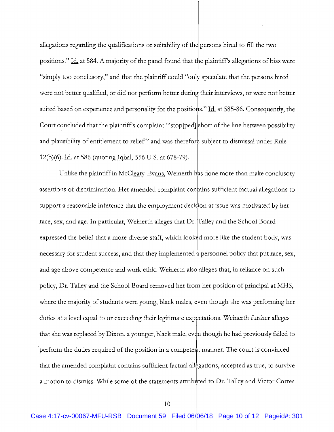allegations regarding the qualifications or suitability of the persons hired to fill the two positions." Id. at 584. A majority of the panel found that the plaintiff's allegations of bias were "simply too conclusory," and that the plaintiff could "only speculate that the persons hired were not better qualified, or did not perform better during their interviews, or were not better suited based on experience and personality for the positions." Id. at 585-86. Consequently, the Court concluded that the plaintiff's complaint "stop[ped] short of the line between possibility and plausibility of entitlement to relief" and was therefore subject to dismissal under Rule 12(b)(6). Id. at 586 (quoting <u>Igbal</u>, 556 U.S. at 678-79).

Unlike the plaintiff in McCleary-Evans, Weinerth has done more than make conclusory assertions of discrimination. Her amended complaint contains sufficient factual allegations to support a reasonable inference that the employment decision at issue was motivated by her race, sex, and age. In particular, Weinerth alleges that Dr. Talley and the School Board expressed the belief that a more diverse staff, which looked more like the student body, was necessary for student success, and that they implemented a personnel policy that put race, sex, and age above competence and work ethic. Weinerth also alleges that, in reliance on such policy, Dr. Talley and the School Board removed her from her position of principal at MHS, where the majority of students were young, black males, even though she was performing her duties at a level equal to or exceeding their legitimate expectations. Weinerth further alleges that she was replaced by Dixon, a younger, black male, even though he had previously failed to perform the duties required of the position in a competent manner. The court is convinced that the amended complaint contains sufficient factual allegations, accepted as true, to survive a motion to dismiss. While some of the statements attributed to Dr. Talley and Victor Correa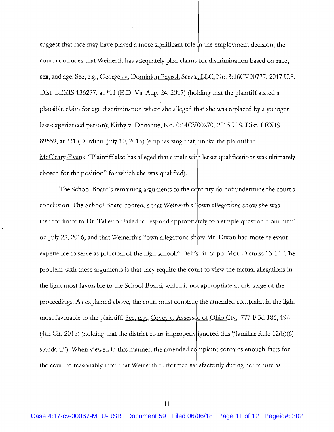suggest that race may have played a more significant role in the employment decision, the court concludes that Weinerth has adequately pled claims for discrimination based on race, sex, and age. See, e.g., Georges v. Dominion Payroll Servs., LLC, No. 3:16CV00777, 2017 U.S. Dist. LEXIS 136277, at \*11 (E.D. Va. Aug. 24, 2017) (holding that the plaintiff stated a plausible claim for age discrimination where she alleged that she was replaced by a younger, less-experienced person); Kirby v. Donahue, No. 0:14CV00270, 2015 U.S. Dist. LEXIS 89559, at \*31 (D. Minn. July 10, 2015) (emphasizing that, unlike the plaintiff in McCleary-Evans, "Plaintiff also has alleged that a male with lesser qualifications was ultimately chosen for the position" for which she was qualified).

The School Board's remaining arguments to the contrary do not undermine the court's conclusion. The School Board contends that Weinerth's 'fown allegations show she was insubordinate to Dr. Talley or failed to respond appropriately to a simple question from him" on July 22, 2016, and that Weinerth's "own allegations show Mr. Dixon had more relevant experience to serve as principal of the high school." Def.'s Br. Supp. Mot. Dismiss 13-14. The problem with these arguments is that they require the court to view the factual allegations in the light most favorable to the School Board, which is not appropriate at this stage of the proceedings. As explained above, the court must construe the amended complaint in the light most favorable to the plaintiff. See, e.g., Covey v. Assessor of Ohio Cty., 777 F.3d 186, 194 (4th Cir. 2015) (holding that the district court improperly ignored this "familiar Rule 12(b)(6) standard"). When viewed in this manner, the amended complaint contains enough facts for the court to reasonably infer that Weinerth performed satisfactorily during her tenure as